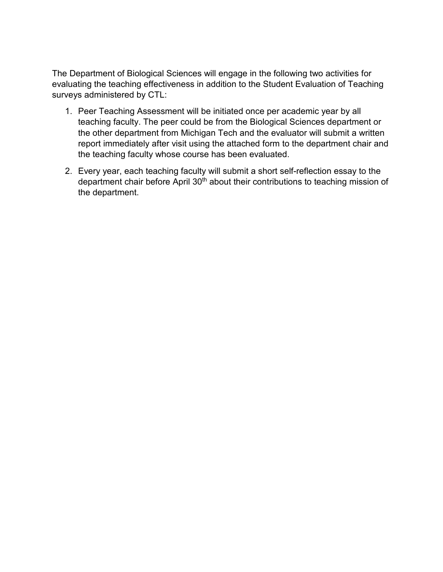The Department of Biological Sciences will engage in the following two activities for evaluating the teaching effectiveness in addition to the Student Evaluation of Teaching surveys administered by CTL:

- 1. Peer Teaching Assessment will be initiated once per academic year by all teaching faculty. The peer could be from the Biological Sciences department or the other department from Michigan Tech and the evaluator will submit a written report immediately after visit using the attached form to the department chair and the teaching faculty whose course has been evaluated.
- 2. Every year, each teaching faculty will submit a short self-reflection essay to the department chair before April 30<sup>th</sup> about their contributions to teaching mission of the department.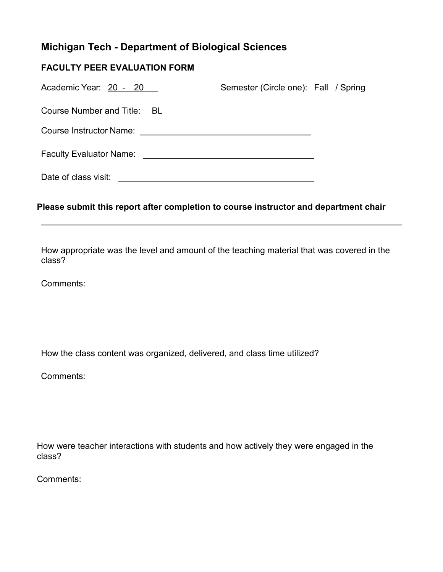## **Michigan Tech - Department of Biological Sciences**

## **FACULTY PEER EVALUATION FORM**

| Academic Year: 20 - 20         | Semester (Circle one): Fall / Spring |  |
|--------------------------------|--------------------------------------|--|
| Course Number and Title: BL    |                                      |  |
| <b>Course Instructor Name:</b> |                                      |  |
| <b>Faculty Evaluator Name:</b> |                                      |  |
| Date of class visit:           |                                      |  |

## **Please submit this report after completion to course instructor and department chair**

How appropriate was the level and amount of the teaching material that was covered in the class?

Comments:

How the class content was organized, delivered, and class time utilized?

Comments:

How were teacher interactions with students and how actively they were engaged in the class?

Comments: